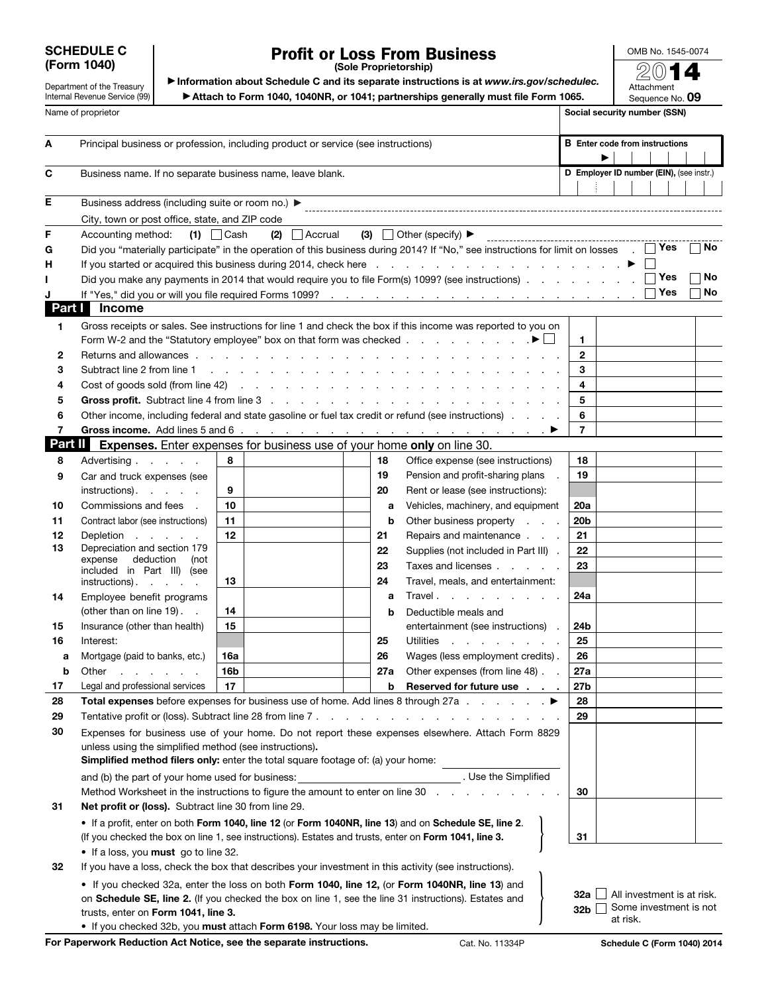## SCHEDULE C<br>(Form 1040)

## Profit or Loss From Business

OMB No. 1545-0074

**Attachment** 

| Department of the Treasury    |
|-------------------------------|
| Internal Revenue Service (99) |

(Form 1040)<br>
▶ Information about Schedule C and its separate instructions is at *www.irs.gov/schedulec.*<br>
Department of the Treasury ▶ Information about Schedule C and its separate instructions is at *www.irs.gov/schedule* 

|              | Internal Revenue Service (99)                                                                                                                                                                                                                                                                                                              |                                                                                   |  |        | Attach to Form 1040, 1040NR, or 1041; partnerships generally must file Form 1065.                                                        |  |                              |                                          |  | Sequence No. 09 |                                                      |  |
|--------------|--------------------------------------------------------------------------------------------------------------------------------------------------------------------------------------------------------------------------------------------------------------------------------------------------------------------------------------------|-----------------------------------------------------------------------------------|--|--------|------------------------------------------------------------------------------------------------------------------------------------------|--|------------------------------|------------------------------------------|--|-----------------|------------------------------------------------------|--|
|              | Name of proprietor                                                                                                                                                                                                                                                                                                                         |                                                                                   |  |        |                                                                                                                                          |  | Social security number (SSN) |                                          |  |                 |                                                      |  |
| A            |                                                                                                                                                                                                                                                                                                                                            | Principal business or profession, including product or service (see instructions) |  |        |                                                                                                                                          |  |                              | <b>B</b> Enter code from instructions    |  |                 |                                                      |  |
| С            | Business name. If no separate business name, leave blank.                                                                                                                                                                                                                                                                                  |                                                                                   |  |        |                                                                                                                                          |  |                              | D Employer ID number (EIN), (see instr.) |  |                 |                                                      |  |
| Е            | Business address (including suite or room no.) ▶                                                                                                                                                                                                                                                                                           |                                                                                   |  |        |                                                                                                                                          |  |                              |                                          |  |                 |                                                      |  |
|              | City, town or post office, state, and ZIP code                                                                                                                                                                                                                                                                                             |                                                                                   |  |        |                                                                                                                                          |  |                              |                                          |  |                 |                                                      |  |
| F            | Accounting method:                                                                                                                                                                                                                                                                                                                         | $(2)$ Accrual<br>$(1)$ $\Box$ Cash                                                |  |        | (3) Other (specify) $\blacktriangleright$                                                                                                |  |                              |                                          |  |                 |                                                      |  |
| G            |                                                                                                                                                                                                                                                                                                                                            |                                                                                   |  |        | Did you "materially participate" in the operation of this business during 2014? If "No," see instructions for limit on losses $\Box$ Yes |  |                              |                                          |  |                 | No                                                   |  |
| н            |                                                                                                                                                                                                                                                                                                                                            |                                                                                   |  |        | If you started or acquired this business during 2014, check here <b>Fig.</b> and <i>i.e.</i> i.e. i.e. i.e. i.e. i.e. <b>►</b>           |  |                              |                                          |  | Yes             | No                                                   |  |
| п            |                                                                                                                                                                                                                                                                                                                                            |                                                                                   |  |        | Did you make any payments in 2014 that would require you to file Form(s) 1099? (see instructions)                                        |  |                              |                                          |  | Yes             | No                                                   |  |
| J<br>Part I  | <b>Income</b>                                                                                                                                                                                                                                                                                                                              |                                                                                   |  |        |                                                                                                                                          |  |                              |                                          |  |                 |                                                      |  |
| 1.           |                                                                                                                                                                                                                                                                                                                                            |                                                                                   |  |        | Gross receipts or sales. See instructions for line 1 and check the box if this income was reported to you on                             |  |                              |                                          |  |                 |                                                      |  |
|              |                                                                                                                                                                                                                                                                                                                                            |                                                                                   |  |        | Form W-2 and the "Statutory employee" box on that form was checked $\ldots$ . $\ldots$ . $\blacktriangleright \Box$                      |  | 1.                           |                                          |  |                 |                                                      |  |
| 2            |                                                                                                                                                                                                                                                                                                                                            |                                                                                   |  |        |                                                                                                                                          |  | $\mathbf{2}$                 |                                          |  |                 |                                                      |  |
| з            | Subtract line 2 from line 1                                                                                                                                                                                                                                                                                                                |                                                                                   |  |        | and a series of the contract of the contract of the contract of the contract of                                                          |  | 3                            |                                          |  |                 |                                                      |  |
| 4            |                                                                                                                                                                                                                                                                                                                                            |                                                                                   |  |        |                                                                                                                                          |  | 4                            |                                          |  |                 |                                                      |  |
| 5            |                                                                                                                                                                                                                                                                                                                                            |                                                                                   |  |        |                                                                                                                                          |  | 5                            |                                          |  |                 |                                                      |  |
| 6            |                                                                                                                                                                                                                                                                                                                                            |                                                                                   |  |        | Other income, including federal and state gasoline or fuel tax credit or refund (see instructions)                                       |  | 6<br>$\overline{7}$          |                                          |  |                 |                                                      |  |
| 7<br>Part II |                                                                                                                                                                                                                                                                                                                                            | <b>Expenses.</b> Enter expenses for business use of your home only on line 30.    |  |        |                                                                                                                                          |  |                              |                                          |  |                 |                                                      |  |
| 8            | Advertising                                                                                                                                                                                                                                                                                                                                | 8                                                                                 |  | 18     | Office expense (see instructions)                                                                                                        |  | 18                           |                                          |  |                 |                                                      |  |
| 9            | Car and truck expenses (see                                                                                                                                                                                                                                                                                                                |                                                                                   |  | 19     | Pension and profit-sharing plans                                                                                                         |  | 19                           |                                          |  |                 |                                                      |  |
|              | instructions).                                                                                                                                                                                                                                                                                                                             | 9                                                                                 |  | 20     | Rent or lease (see instructions):                                                                                                        |  |                              |                                          |  |                 |                                                      |  |
| 10           | Commissions and fees.                                                                                                                                                                                                                                                                                                                      | 10                                                                                |  | а      | Vehicles, machinery, and equipment                                                                                                       |  | 20a                          |                                          |  |                 |                                                      |  |
| 11           | Contract labor (see instructions)                                                                                                                                                                                                                                                                                                          | 11                                                                                |  | b      | Other business property                                                                                                                  |  | 20b                          |                                          |  |                 |                                                      |  |
| 12           | Depletion                                                                                                                                                                                                                                                                                                                                  | 12                                                                                |  | 21     | Repairs and maintenance                                                                                                                  |  | 21                           |                                          |  |                 |                                                      |  |
| 13           | Depreciation and section 179<br>deduction<br>expense<br>(not                                                                                                                                                                                                                                                                               |                                                                                   |  | 22     | Supplies (not included in Part III).                                                                                                     |  | 22                           |                                          |  |                 |                                                      |  |
|              | included in Part III) (see                                                                                                                                                                                                                                                                                                                 |                                                                                   |  | 23     | Taxes and licenses                                                                                                                       |  | 23                           |                                          |  |                 |                                                      |  |
|              | instructions).                                                                                                                                                                                                                                                                                                                             | 13                                                                                |  | 24     | Travel, meals, and entertainment:                                                                                                        |  |                              |                                          |  |                 |                                                      |  |
| 14           | Employee benefit programs<br>(other than on line 19). .                                                                                                                                                                                                                                                                                    | 14                                                                                |  | a<br>b | Travel.<br>Deductible meals and                                                                                                          |  | 24a                          |                                          |  |                 |                                                      |  |
| 15           | Insurance (other than health)                                                                                                                                                                                                                                                                                                              | 15                                                                                |  |        | entertainment (see instructions).                                                                                                        |  | 24b                          |                                          |  |                 |                                                      |  |
| 16           | Interest:                                                                                                                                                                                                                                                                                                                                  |                                                                                   |  | 25     | Utilities                                                                                                                                |  | 25                           |                                          |  |                 |                                                      |  |
| a            | Mortgage (paid to banks, etc.)                                                                                                                                                                                                                                                                                                             | 16a                                                                               |  | 26     | Wages (less employment credits).                                                                                                         |  | 26                           |                                          |  |                 |                                                      |  |
| b            | Other<br>and the contract of the con-                                                                                                                                                                                                                                                                                                      | 16b                                                                               |  | 27a    | Other expenses (from line 48).                                                                                                           |  | 27a                          |                                          |  |                 |                                                      |  |
| 17           | Legal and professional services                                                                                                                                                                                                                                                                                                            | 17                                                                                |  | b      | Reserved for future use                                                                                                                  |  | 27b                          |                                          |  |                 |                                                      |  |
| 28           | Total expenses before expenses for business use of home. Add lines 8 through 27a ▶                                                                                                                                                                                                                                                         |                                                                                   |  |        |                                                                                                                                          |  | 28                           |                                          |  |                 |                                                      |  |
| 29           |                                                                                                                                                                                                                                                                                                                                            |                                                                                   |  |        |                                                                                                                                          |  | 29                           |                                          |  |                 |                                                      |  |
| 30           | unless using the simplified method (see instructions).<br><b>Simplified method filers only:</b> enter the total square footage of: (a) your home:                                                                                                                                                                                          |                                                                                   |  |        | Expenses for business use of your home. Do not report these expenses elsewhere. Attach Form 8829                                         |  |                              |                                          |  |                 |                                                      |  |
|              | . Use the Simplified<br>and (b) the part of your home used for business:                                                                                                                                                                                                                                                                   |                                                                                   |  |        |                                                                                                                                          |  | 30                           |                                          |  |                 |                                                      |  |
|              |                                                                                                                                                                                                                                                                                                                                            | Method Worksheet in the instructions to figure the amount to enter on line 30     |  |        |                                                                                                                                          |  |                              |                                          |  |                 |                                                      |  |
| 31           | <b>Net profit or (loss).</b> Subtract line 30 from line 29.<br>• If a profit, enter on both Form 1040, line 12 (or Form 1040NR, line 13) and on Schedule SE, line 2.                                                                                                                                                                       |                                                                                   |  |        |                                                                                                                                          |  |                              |                                          |  |                 |                                                      |  |
|              | (If you checked the box on line 1, see instructions). Estates and trusts, enter on Form 1041, line 3.                                                                                                                                                                                                                                      |                                                                                   |  |        |                                                                                                                                          |  | 31                           |                                          |  |                 |                                                      |  |
|              | • If a loss, you must go to line 32.                                                                                                                                                                                                                                                                                                       |                                                                                   |  |        |                                                                                                                                          |  |                              |                                          |  |                 |                                                      |  |
| 32           | If you have a loss, check the box that describes your investment in this activity (see instructions).                                                                                                                                                                                                                                      |                                                                                   |  |        |                                                                                                                                          |  |                              |                                          |  |                 |                                                      |  |
|              | • If you checked 32a, enter the loss on both Form 1040, line 12, (or Form 1040NR, line 13) and<br>on Schedule SE, line 2. (If you checked the box on line 1, see the line 31 instructions). Estates and<br>trusts, enter on Form 1041, line 3.<br>• If you checked 32b, you <b>must</b> attach <b>Form 6198.</b> Your loss may be limited. |                                                                                   |  |        |                                                                                                                                          |  | 32a ∐<br>32b $\Box$          | at risk.                                 |  |                 | All investment is at risk.<br>Some investment is not |  |